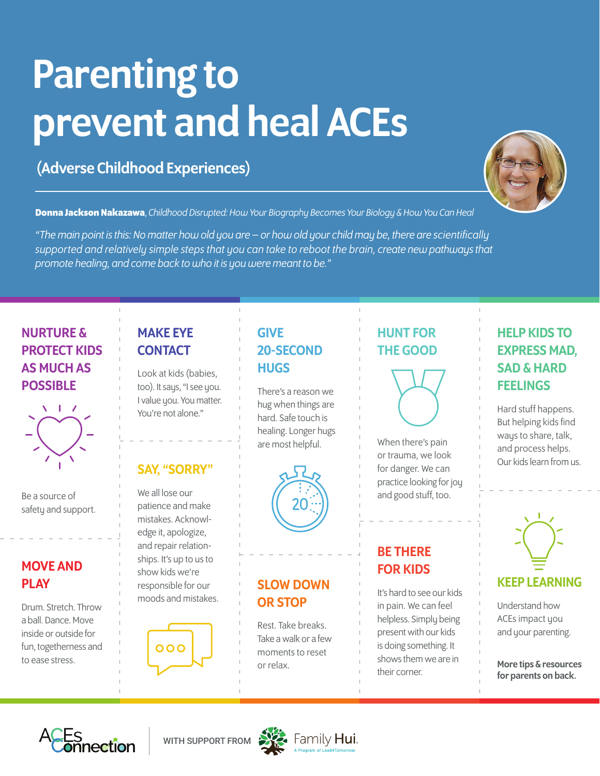# Parenting to prevent and heal ACEs

# (Adverse Childhood Experiences)



**Donna Jackson Nakazawa**, *Childhood Disrupted: How Your Biography Becomes Your Biology & How You Can Heal* 

*"The main point is this: No matter how old you are – or how old your child may be, there are scientifically [supported and relatively simple steps that you can take to reboot the brain, create new pathways that](https://donnajacksonnakazawa.com/)  promote healing, and come back to who it is you were meant to be."* 

#### NURTURE & PROTECT KIDS AS MUCH AS POSSIBLE



Be a source of safety and support.

#### MOVE AND **PLAY**

Drum. Stretch. Throw a ball. Dance. Move inside or outside for fun, togetherness and to ease stress.

### MAKE EYE **CONTACT**

Look at kids (babies, too). It says, "I see you. I value you. You matter. You're not alone."

#### SAY, "SORRY"

We all lose our patience and make mistakes. Acknowledge it, apologize, and repair relationships. It's up to us to show kids we're responsible for our moods and mistakes.



## GIVE 20-SECOND **HUGS**

There's a reason we hug when things are hard. Safe touch is healing. Longer hugs are most helpful.



#### SLOW DOWN OR STOP

Rest. Take breaks. Take a walk or a few moments to reset or relax.

## HUNT FOR THE GOOD



When there's pain or trauma, we look for danger. We can practice looking for joy and good stuff, too.

#### BE THERE FOR KIDS

It's hard to see our kids in pain. We can feel helpless. Simply being present with our kids is doing something. It shows them we are in their corner.

### HELP KIDS TO EXPRESS MAD, SAD & HARD **FEELINGS**

Hard stuff happens. But helping kids find ways to share, talk, and process helps. Our kids learn from us.



#### KEEP LEARNING

Understand how ACEs impact you and your parenting.

More tips & resources for parents on back.